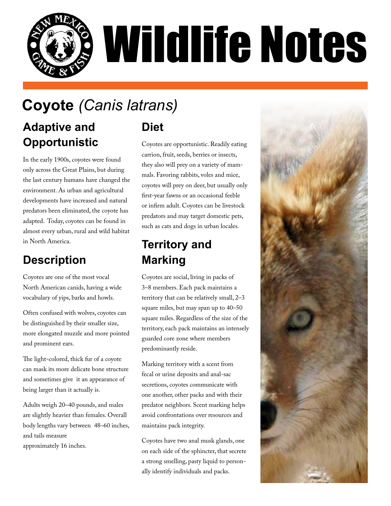

# **Coyote** *(Canis latrans)*

#### **Adaptive and Opportunistic**

In the early 1900s, coyotes were found only across the Great Plains, but during the last century humans have changed the environment. As urban and agricultural developments have increased and natural predators been eliminated, the coyote has adapted. Today, coyotes can be found in almost every urban, rural and wild habitat in North America.

## **Description**

Coyotes are one of the most vocal North American canids, having a wide vocabulary of yips, barks and howls.

Often confused with wolves, coyotes can be distinguished by their smaller size, more elongated muzzle and more pointed and prominent ears.

The light-colored, thick fur of a coyote can mask its more delicate bone structure and sometimes give it an appearance of being larger than it actually is.

Adults weigh 20–40 pounds, and males are slightly heavier than females. Overall body lengths vary between 48–60 inches, and tails measure approximately 16 inches.

**Diet**

Coyotes are opportunistic. Readily eating carrion, fruit, seeds, berries or insects, they also will prey on a variety of mammals. Favoring rabbits, voles and mice, coyotes will prey on deer, but usually only first-year fawns or an occasional feeble or infirm adult. Coyotes can be livestock predators and may target domestic pets, such as cats and dogs in urban locales.

## **Territory and Marking**

Coyotes are social, living in packs of 3–8 members. Each pack maintains a territory that can be relatively small, 2–3 square miles, but may span up to 40–50 square miles. Regardless of the size of the territory, each pack maintains an intensely guarded core zone where members predominantly reside.

Marking territory with a scent from fecal or urine deposits and anal-sac secretions, coyotes communicate with one another, other packs and with their predator neighbors. Scent marking helps avoid confrontations over resources and maintains pack integrity.

Coyotes have two anal musk glands, one on each side of the sphincter, that secrete a strong smelling, pasty liquid to personally identify individuals and packs.